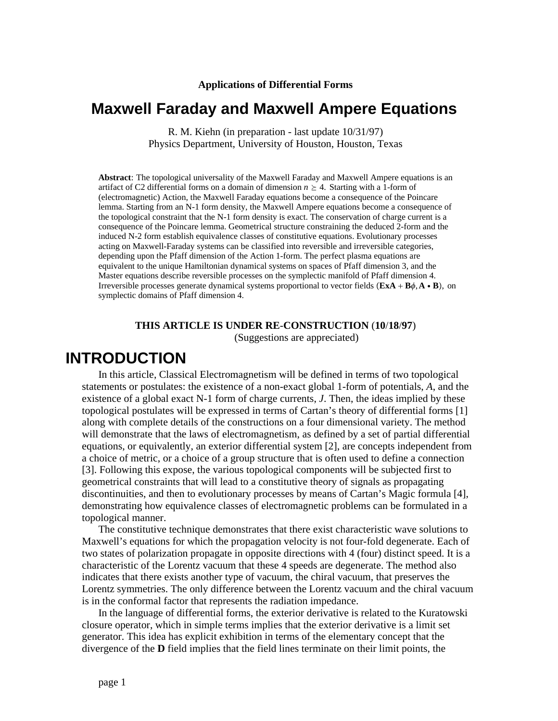**Applications of Differential Forms**

# **Maxwell Faraday and Maxwell Ampere Equations**

R. M. Kiehn (in preparation - last update 10/31/97) Physics Department, University of Houston, Houston, Texas

**Abstract**: The topological universality of the Maxwell Faraday and Maxwell Ampere equations is an artifact of C2 differential forms on a domain of dimension  $n \geq 4$ . Starting with a 1-form of (electromagnetic) Action, the Maxwell Faraday equations become a consequence of the Poincare lemma. Starting from an N-1 form density, the Maxwell Ampere equations become a consequence of the topological constraint that the N-1 form density is exact. The conservation of charge current is a consequence of the Poincare lemma. Geometrical structure constraining the deduced 2-form and the induced N-2 form establish equivalence classes of constitutive equations. Evolutionary processes acting on Maxwell-Faraday systems can be classified into reversible and irreversible categories, depending upon the Pfaff dimension of the Action 1-form. The perfect plasma equations are equivalent to the unique Hamiltonian dynamical systems on spaces of Pfaff dimension 3, and the Master equations describe reversible processes on the symplectic manifold of Pfaff dimension 4. Irreversible processes generate dynamical systems proportional to vector fields  $(\mathbf{ExA} + \mathbf{B}\phi, \mathbf{A} \cdot \mathbf{B})$ , on symplectic domains of Pfaff dimension 4.

#### **THIS ARTICLE IS UNDER RE**-**CONSTRUCTION** (**10**/**18**/**97**)

(Suggestions are appreciated)

# **INTRODUCTION**

In this article, Classical Electromagnetism will be defined in terms of two topological statements or postulates: the existence of a non-exact global 1-form of potentials, *A*, and the existence of a global exact N-1 form of charge currents, *J*. Then, the ideas implied by these topological postulates will be expressed in terms of Cartan's theory of differential forms [1] along with complete details of the constructions on a four dimensional variety. The method will demonstrate that the laws of electromagnetism, as defined by a set of partial differential equations, or equivalently, an exterior differential system [2], are concepts independent from a choice of metric, or a choice of a group structure that is often used to define a connection [3]. Following this expose, the various topological components will be subjected first to geometrical constraints that will lead to a constitutive theory of signals as propagating discontinuities, and then to evolutionary processes by means of Cartan's Magic formula [4], demonstrating how equivalence classes of electromagnetic problems can be formulated in a topological manner.

The constitutive technique demonstrates that there exist characteristic wave solutions to Maxwell's equations for which the propagation velocity is not four-fold degenerate. Each of two states of polarization propagate in opposite directions with 4 (four) distinct speed. It is a characteristic of the Lorentz vacuum that these 4 speeds are degenerate. The method also indicates that there exists another type of vacuum, the chiral vacuum, that preserves the Lorentz symmetries. The only difference between the Lorentz vacuum and the chiral vacuum is in the conformal factor that represents the radiation impedance.

In the language of differential forms, the exterior derivative is related to the Kuratowski closure operator, which in simple terms implies that the exterior derivative is a limit set generator. This idea has explicit exhibition in terms of the elementary concept that the divergence of the **D** field implies that the field lines terminate on their limit points, the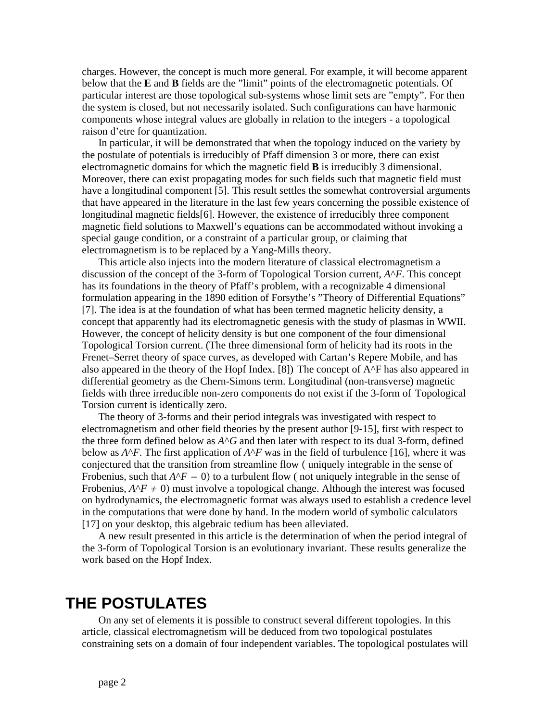charges. However, the concept is much more general. For example, it will become apparent below that the **E** and **B** fields are the "limit" points of the electromagnetic potentials. Of particular interest are those topological sub-systems whose limit sets are "empty". For then the system is closed, but not necessarily isolated. Such configurations can have harmonic components whose integral values are globally in relation to the integers - a topological raison d'etre for quantization.

In particular, it will be demonstrated that when the topology induced on the variety by the postulate of potentials is irreducibly of Pfaff dimension 3 or more, there can exist electromagnetic domains for which the magnetic field **B** is irreducibly 3 dimensional. Moreover, there can exist propagating modes for such fields such that magnetic field must have a longitudinal component [5]. This result settles the somewhat controversial arguments that have appeared in the literature in the last few years concerning the possible existence of longitudinal magnetic fields[6]. However, the existence of irreducibly three component magnetic field solutions to Maxwell's equations can be accommodated without invoking a special gauge condition, or a constraint of a particular group, or claiming that electromagnetism is to be replaced by a Yang-Mills theory.

This article also injects into the modern literature of classical electromagnetism a discussion of the concept of the 3-form of Topological Torsion current, *A*^*F*. This concept has its foundations in the theory of Pfaff's problem, with a recognizable 4 dimensional formulation appearing in the 1890 edition of Forsythe's "Theory of Differential Equations" [7]. The idea is at the foundation of what has been termed magnetic helicity density, a concept that apparently had its electromagnetic genesis with the study of plasmas in WWII. However, the concept of helicity density is but one component of the four dimensional Topological Torsion current. (The three dimensional form of helicity had its roots in the Frenet–Serret theory of space curves, as developed with Cartan's Repere Mobile, and has also appeared in the theory of the Hopf Index. [8]) The concept of A^F has also appeared in differential geometry as the Chern-Simons term. Longitudinal (non-transverse) magnetic fields with three irreducible non-zero components do not exist if the 3-form of Topological Torsion current is identically zero.

The theory of 3-forms and their period integrals was investigated with respect to electromagnetism and other field theories by the present author [9-15], first with respect to the three form defined below as  $A^{\wedge}G$  and then later with respect to its dual 3-form, defined below as  $A^{\wedge}F$ . The first application of  $A^{\wedge}F$  was in the field of turbulence [16], where it was conjectured that the transition from streamline flow (uniquely integrable in the sense of Frobenius, such that  $A^{\wedge}F = 0$  to a turbulent flow ( not uniquely integrable in the sense of Frobenius,  $A^{\wedge}F \neq 0$  must involve a topological change. Although the interest was focused on hydrodynamics, the electromagnetic format was always used to establish a credence level in the computations that were done by hand. In the modern world of symbolic calculators [17] on your desktop, this algebraic tedium has been alleviated.

A new result presented in this article is the determination of when the period integral of the 3-form of Topological Torsion is an evolutionary invariant. These results generalize the work based on the Hopf Index.

# **THE POSTULATES**

On any set of elements it is possible to construct several different topologies. In this article, classical electromagnetism will be deduced from two topological postulates constraining sets on a domain of four independent variables. The topological postulates will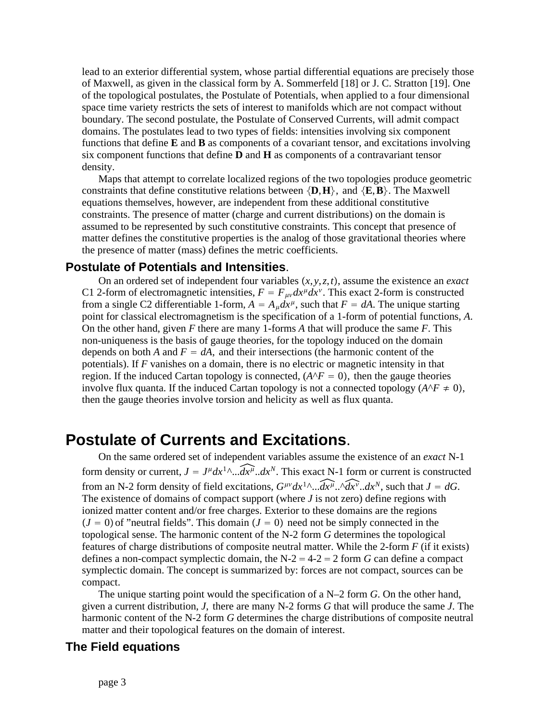lead to an exterior differential system, whose partial differential equations are precisely those of Maxwell, as given in the classical form by A. Sommerfeld [18] or J. C. Stratton [19]. One of the topological postulates, the Postulate of Potentials, when applied to a four dimensional space time variety restricts the sets of interest to manifolds which are not compact without boundary. The second postulate, the Postulate of Conserved Currents, will admit compact domains. The postulates lead to two types of fields: intensities involving six component functions that define **E** and **B** as components of a covariant tensor, and excitations involving six component functions that define **D** and **H** as components of a contravariant tensor density.

Maps that attempt to correlate localized regions of the two topologies produce geometric constraints that define constitutive relations between  $\{D, H\}$ , and  $\{E, B\}$ . The Maxwell equations themselves, however, are independent from these additional constitutive constraints. The presence of matter (charge and current distributions) on the domain is assumed to be represented by such constitutive constraints. This concept that presence of matter defines the constitutive properties is the analog of those gravitational theories where the presence of matter (mass) defines the metric coefficients.

## **Postulate of Potentials and Intensities**.

On an ordered set of independent four variables  $(x, y, z, t)$ , assume the existence an *exact* C1 2-form of electromagnetic intensities,  $F = F_{\mu\nu} dx^{\mu} dx^{\nu}$ . This exact 2-form is constructed from a single C2 differentiable 1-form,  $A = A_{\mu} dx^{\mu}$ , such that  $F = dA$ . The unique starting point for classical electromagnetism is the specification of a 1-form of potential functions, *A*. On the other hand, given *F* there are many 1-forms *A* that will produce the same *F*. This non-uniqueness is the basis of gauge theories, for the topology induced on the domain depends on both *A* and  $F = dA$ , and their intersections (the harmonic content of the potentials). If *F* vanishes on a domain, there is no electric or magnetic intensity in that region. If the induced Cartan topology is connected,  $(A^{\wedge}F = 0)$ , then the gauge theories involve flux quanta. If the induced Cartan topology is not a connected topology  $(A^{\wedge}F \neq 0)$ , then the gauge theories involve torsion and helicity as well as flux quanta.

# **Postulate of Currents and Excitations**.

On the same ordered set of independent variables assume the existence of an *exact* N-1 form density or current,  $J = J^{\mu}dx^{1}\Delta \dots dx^{\mu} dx^{N}$ . This exact N-1 form or current is constructed from an N-2 form density of field excitations,  $G^{\mu\nu}dx^{1}\hat{d}x^{1}\hat{d}x^{1}\hat{d}x^{1}\hat{d}x^{N}$ , such that  $J = dG$ . The existence of domains of compact support (where *J* is not zero) define regions with ionized matter content and/or free charges. Exterior to these domains are the regions  $(J = 0)$  of "neutral fields". This domain  $(J = 0)$  need not be simply connected in the topological sense. The harmonic content of the N-2 form *G* determines the topological features of charge distributions of composite neutral matter. While the 2-form *F* (if it exists) defines a non-compact symplectic domain, the  $N-2 = 4-2 = 2$  form *G* can define a compact symplectic domain. The concept is summarized by: forces are not compact, sources can be compact.

The unique starting point would the specification of a N–2 form *G*. On the other hand, given a current distribution, *J*, there are many N-2 forms *G* that will produce the same *J*. The harmonic content of the N-2 form *G* determines the charge distributions of composite neutral matter and their topological features on the domain of interest.

### **The Field equations**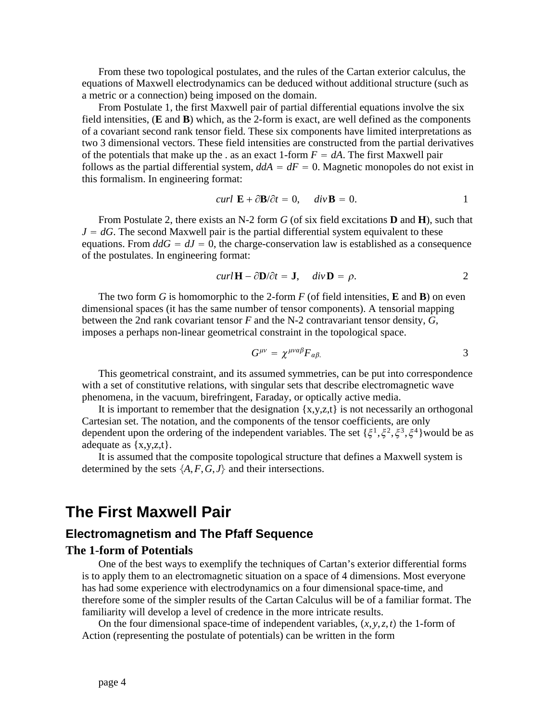From these two topological postulates, and the rules of the Cartan exterior calculus, the equations of Maxwell electrodynamics can be deduced without additional structure (such as a metric or a connection) being imposed on the domain.

From Postulate 1, the first Maxwell pair of partial differential equations involve the six field intensities, (**E** and **B**) which, as the 2-form is exact, are well defined as the components of a covariant second rank tensor field. These six components have limited interpretations as two 3 dimensional vectors. These field intensities are constructed from the partial derivatives of the potentials that make up the . as an exact 1-form  $F = dA$ . The first Maxwell pair follows as the partial differential system,  $d\vec{A} = dF = 0$ . Magnetic monopoles do not exist in this formalism. In engineering format:

$$
curl \mathbf{E} + \partial \mathbf{B}/\partial t = 0, \quad div \mathbf{B} = 0.
$$

From Postulate 2, there exists an N-2 form *G* (of six field excitations **D** and **H**), such that  $J = dG$ . The second Maxwell pair is the partial differential system equivalent to these equations. From  $ddG = dJ = 0$ , the charge-conservation law is established as a consequence of the postulates. In engineering format:

$$
curl \mathbf{H} - \partial \mathbf{D}/\partial t = \mathbf{J}, \quad div \mathbf{D} = \rho.
$$

The two form *G* is homomorphic to the 2-form *F* (of field intensities, **E** and **B**) on even dimensional spaces (it has the same number of tensor components). A tensorial mapping between the 2nd rank covariant tensor *F* and the N-2 contravariant tensor density, *G*, imposes a perhaps non-linear geometrical constraint in the topological space.

$$
G^{\mu\nu} = \chi^{\mu\nu\alpha\beta} F_{\alpha\beta}.
$$

This geometrical constraint, and its assumed symmetries, can be put into correspondence with a set of constitutive relations, with singular sets that describe electromagnetic wave phenomena, in the vacuum, birefringent, Faraday, or optically active media.

It is important to remember that the designation  $\{x,y,z,t\}$  is not necessarily an orthogonal Cartesian set. The notation, and the components of the tensor coefficients, are only dependent upon the ordering of the independent variables. The set  $\{\xi^1, \xi^2, \xi^3, \xi^4\}$  would be as adequate as  $\{x,y,z,t\}$ .

It is assumed that the composite topological structure that defines a Maxwell system is determined by the sets  $\{A, F, G, J\}$  and their intersections.

## **The First Maxwell Pair**

### **Electromagnetism and The Pfaff Sequence**

#### **The 1**-**form of Potentials**

One of the best ways to exemplify the techniques of Cartan's exterior differential forms is to apply them to an electromagnetic situation on a space of 4 dimensions. Most everyone has had some experience with electrodynamics on a four dimensional space-time, and therefore some of the simpler results of the Cartan Calculus will be of a familiar format. The familiarity will develop a level of credence in the more intricate results.

On the four dimensional space-time of independent variables,  $(x, y, z, t)$  the 1-form of Action (representing the postulate of potentials) can be written in the form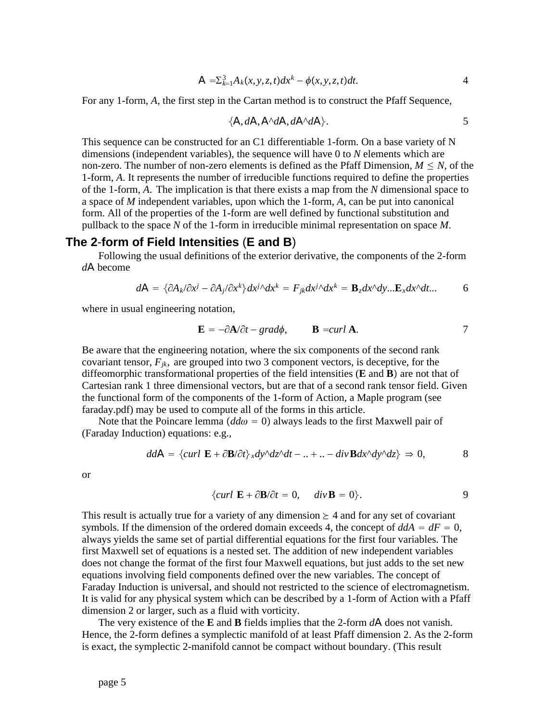$$
A = \sum_{k=1}^{3} A_k(x, y, z, t) dx^k - \phi(x, y, z, t) dt.
$$

For any 1-form, *A*, the first step in the Cartan method is to construct the Pfaff Sequence,

$$
\{A, dA, A^{\wedge}dA, dA^{\wedge}dA\}.
$$

This sequence can be constructed for an C1 differentiable 1-form. On a base variety of N dimensions (independent variables), the sequence will have 0 to *N* elements which are non-zero. The number of non-zero elements is defined as the Pfaff Dimension,  $M \leq N$ , of the 1-form, *A*. It represents the number of irreducible functions required to define the properties of the 1-form, *A*. The implication is that there exists a map from the *N* dimensional space to a space of *M* independent variables, upon which the 1-form, *A*, can be put into canonical form. All of the properties of the 1-form are well defined by functional substitution and pullback to the space *N* of the 1-form in irreducible minimal representation on space *M*.

### **The 2**-**form of Field Intensities** (**E and B**)

Following the usual definitions of the exterior derivative, the components of the 2-form *d*A become

$$
d\mathbf{A} = \{\partial A_k/\partial x^j - \partial A_j/\partial x^k\}dx^{j\wedge}dx^k = F_{jk}dx^{j\wedge}dx^k = \mathbf{B}_z dx^{\wedge} dy... \mathbf{E}_x dx^{\wedge} dt... \qquad 6
$$

where in usual engineering notation,

$$
\mathbf{E} = -\partial \mathbf{A}/\partial t - \text{grad}\phi, \qquad \mathbf{B} = \text{curl } \mathbf{A}. \tag{7}
$$

Be aware that the engineering notation, where the six components of the second rank covariant tensor,  $F_{ik}$ , are grouped into two 3 component vectors, is deceptive, for the diffeomorphic transformational properties of the field intensities  $(E \text{ and } B)$  are not that of Cartesian rank 1 three dimensional vectors, but are that of a second rank tensor field. Given the functional form of the components of the 1-form of Action, a Maple program (see faraday.pdf) may be used to compute all of the forms in this article.

Note that the Poincare lemma  $(dd\omega = 0)$  always leads to the first Maxwell pair of (Faraday Induction) equations: e.g.,

$$
ddA = \{curl \mathbf{E} + \partial \mathbf{B}/\partial t\} \, x dy^{\wedge} dz^{\wedge} dt - \dots + \dots - div \mathbf{B} dx^{\wedge} dy^{\wedge} dz \} \Rightarrow 0, \tag{8}
$$

or

$$
\{curl \mathbf{E} + \partial \mathbf{B}/\partial t = 0, \quad div \mathbf{B} = 0\}.
$$

This result is actually true for a variety of any dimension  $\geq 4$  and for any set of covariant symbols. If the dimension of the ordered domain exceeds 4, the concept of  $ddA = dF = 0$ , always yields the same set of partial differential equations for the first four variables. The first Maxwell set of equations is a nested set. The addition of new independent variables does not change the format of the first four Maxwell equations, but just adds to the set new equations involving field components defined over the new variables. The concept of Faraday Induction is universal, and should not restricted to the science of electromagnetism. It is valid for any physical system which can be described by a 1-form of Action with a Pfaff dimension 2 or larger, such as a fluid with vorticity.

The very existence of the **E** and **B** fields implies that the 2-form *d*A does not vanish. Hence, the 2-form defines a symplectic manifold of at least Pfaff dimension 2. As the 2-form is exact, the symplectic 2-manifold cannot be compact without boundary. (This result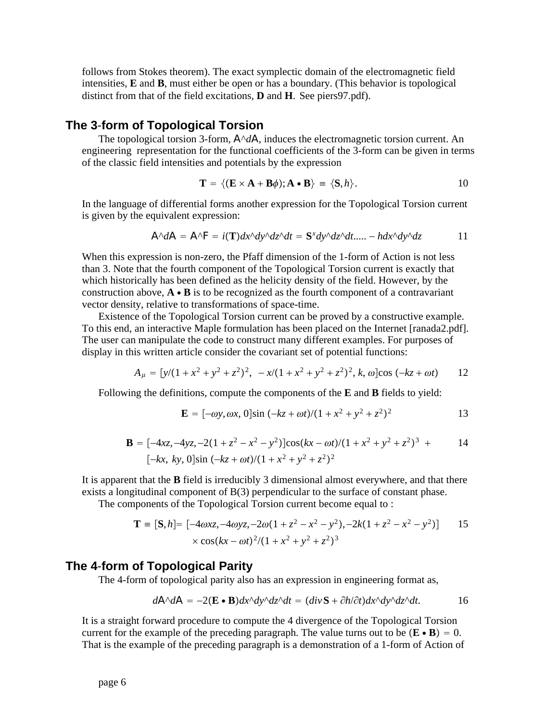follows from Stokes theorem). The exact symplectic domain of the electromagnetic field intensities, **E** and **B**, must either be open or has a boundary. (This behavior is topological distinct from that of the field excitations, **D** and **H**. See piers97.pdf).

## **The 3**-**form of Topological Torsion**

The topological torsion 3-form,  $A^{\wedge}dA$ , induces the electromagnetic torsion current. An engineering representation for the functional coefficients of the 3-form can be given in terms of the classic field intensities and potentials by the expression

$$
\mathbf{T} = \{ (\mathbf{E} \times \mathbf{A} + \mathbf{B}\phi); \mathbf{A} \bullet \mathbf{B} \} \equiv \{ \mathbf{S}, h \}.
$$

In the language of differential forms another expression for the Topological Torsion current is given by the equivalent expression:

$$
A^{\wedge}dA = A^{\wedge}F = i(\mathbf{T})dx^{\wedge}dy^{\wedge}dz^{\wedge}dt = \mathbf{S}^{\times}dy^{\wedge}dz^{\wedge}dt.... - hdx^{\wedge}dy^{\wedge}dz \qquad 11
$$

When this expression is non-zero, the Pfaff dimension of the 1-form of Action is not less than 3. Note that the fourth component of the Topological Torsion current is exactly that which historically has been defined as the helicity density of the field. However, by the construction above,  $\mathbf{A} \cdot \mathbf{B}$  is to be recognized as the fourth component of a contravariant vector density, relative to transformations of space-time.

Existence of the Topological Torsion current can be proved by a constructive example. To this end, an interactive Maple formulation has been placed on the Internet [ranada2.pdf]. The user can manipulate the code to construct many different examples. For purposes of display in this written article consider the covariant set of potential functions:

$$
A_{\mu} = [y/(1 + x^2 + y^2 + z^2)^2, -x/(1 + x^2 + y^2 + z^2)^2, k, \omega] \cos(-kz + \omega t)
$$
 12

Following the definitions, compute the components of the **E** and **B** fields to yield:

$$
\mathbf{E} = [-\omega y, \omega x, 0] \sin(-kz + \omega t)/(1 + x^2 + y^2 + z^2)^2
$$

$$
\mathbf{B} = [-4xz, -4yz, -2(1 + z^2 - x^2 - y^2)]\cos(kx - \omega t)/(1 + x^2 + y^2 + z^2)^3 + [ -kx, ky, 0] \sin(-kz + \omega t)/(1 + x^2 + y^2 + z^2)^2
$$

It is apparent that the **B** field is irreducibly 3 dimensional almost everywhere, and that there exists a longitudinal component of B(3) perpendicular to the surface of constant phase.

The components of the Topological Torsion current become equal to :

$$
\mathbf{T} = [\mathbf{S}, h] = [-4\omega x z, -4\omega y z, -2\omega (1 + z^2 - x^2 - y^2), -2k(1 + z^2 - x^2 - y^2)] \qquad 15
$$
  
 
$$
\times \cos(kx - \omega t)^2 / (1 + x^2 + y^2 + z^2)^3
$$

#### **The 4**-**form of Topological Parity**

The 4-form of topological parity also has an expression in engineering format as,

$$
d\mathbf{A}^{\wedge}d\mathbf{A} = -2(\mathbf{E} \cdot \mathbf{B})dx^{\wedge}dy^{\wedge}dz^{\wedge}dt = (div\mathbf{S} + \partial h/\partial t)dx^{\wedge}dy^{\wedge}dz^{\wedge}dt.
$$
 16

It is a straight forward procedure to compute the 4 divergence of the Topological Torsion current for the example of the preceding paragraph. The value turns out to be  $(\mathbf{E} \cdot \mathbf{B}) = 0$ . That is the example of the preceding paragraph is a demonstration of a 1-form of Action of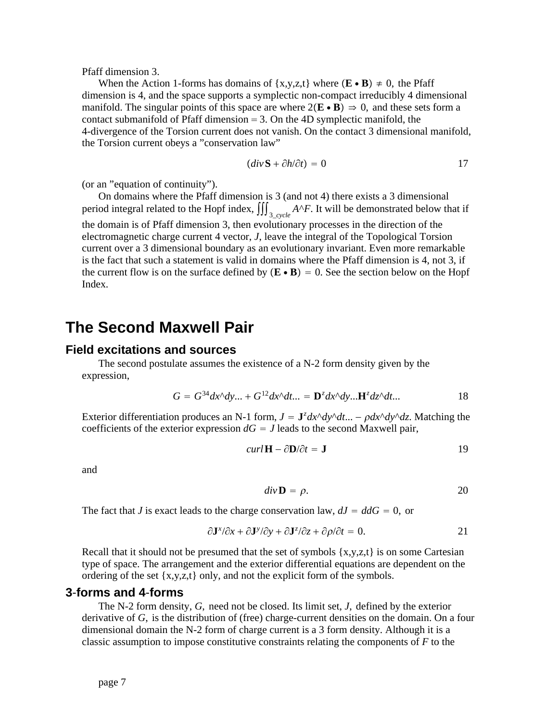Pfaff dimension 3.

When the Action 1-forms has domains of  $\{x,y,z,t\}$  where  $(\mathbf{E} \cdot \mathbf{B}) \neq 0$ , the Pfaff dimension is 4, and the space supports a symplectic non-compact irreducibly 4 dimensional manifold. The singular points of this space are where  $2(\mathbf{E} \cdot \mathbf{B}) \Rightarrow 0$ , and these sets form a contact submanifold of Pfaff dimension  $= 3$ . On the 4D symplectic manifold, the 4-divergence of the Torsion current does not vanish. On the contact 3 dimensional manifold, the Torsion current obeys a "conservation law"

$$
(div \mathbf{S} + \partial h/\partial t) = 0 \tag{17}
$$

(or an "equation of continuity").

On domains where the Pfaff dimension is 3 (and not 4) there exists a 3 dimensional period integral related to the Hopf index,  $\iiint_{3\_cycle} A \wedge F$ . It will be demonstrated below that if the domain is of Pfaff dimension 3, then evolutionary processes in the direction of the electromagnetic charge current 4 vector, *J*, leave the integral of the Topological Torsion current over a 3 dimensional boundary as an evolutionary invariant. Even more remarkable is the fact that such a statement is valid in domains where the Pfaff dimension is 4, not 3, if the current flow is on the surface defined by  $(\mathbf{E} \cdot \mathbf{B}) = 0$ . See the section below on the Hopf Index.

## **The Second Maxwell Pair**

#### **Field excitations and sources**

The second postulate assumes the existence of a N-2 form density given by the expression,

$$
G = G^{34} dx^{\wedge} dy \dots + G^{12} dx^{\wedge} dt \dots = \mathbf{D}^{z} dx^{\wedge} dy \dots \mathbf{H}^{z} dz^{\wedge} dt \dots
$$

Exterior differentiation produces an N-1 form,  $J = J^z dx^{\wedge} dy^{\wedge} dt ... - \rho dx^{\wedge} dy^{\wedge} dz$ . Matching the coefficients of the exterior expression  $dG = J$  leads to the second Maxwell pair,

$$
curl \mathbf{H} - \partial \mathbf{D} / \partial t = \mathbf{J}
$$

and

$$
div \mathbf{D} = \rho. \tag{20}
$$

The fact that *J* is exact leads to the charge conservation law,  $dJ = ddG = 0$ , or

$$
\partial \mathbf{J}^x/\partial x + \partial \mathbf{J}^y/\partial y + \partial \mathbf{J}^z/\partial z + \partial \rho/\partial t = 0.
$$

Recall that it should not be presumed that the set of symbols  $\{x,y,z,t\}$  is on some Cartesian type of space. The arrangement and the exterior differential equations are dependent on the ordering of the set {x,y,z,t} only, and not the explicit form of the symbols.

#### **3**-**forms and 4**-**forms**

The N-2 form density, *G*, need not be closed. Its limit set, *J*, defined by the exterior derivative of *G*, is the distribution of (free) charge-current densities on the domain. On a four dimensional domain the N-2 form of charge current is a 3 form density. Although it is a classic assumption to impose constitutive constraints relating the components of *F* to the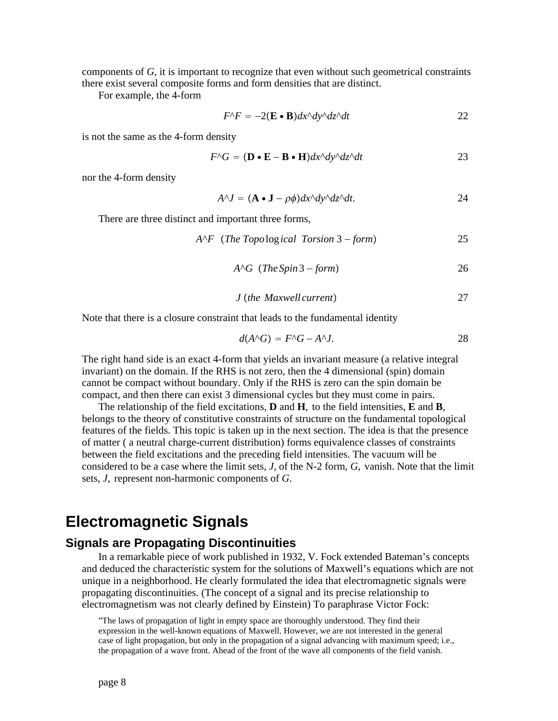components of *G*, it is important to recognize that even without such geometrical constraints there exist several composite forms and form densities that are distinct.

For example, the 4-form

$$
F^{\wedge}F = -2(\mathbf{E} \cdot \mathbf{B})dx^{\wedge}dy^{\wedge}dz^{\wedge}dt
$$
 22

is not the same as the 4-form density

$$
F^{\wedge}G = (\mathbf{D} \cdot \mathbf{E} - \mathbf{B} \cdot \mathbf{H}) dx^{\wedge} dy^{\wedge} dz^{\wedge} dt
$$
 23

nor the 4-form density

$$
A^{\wedge}J = (\mathbf{A} \cdot \mathbf{J} - \rho \phi) dx^{\wedge} dy^{\wedge} dz^{\wedge} dt. \qquad 24
$$

There are three distinct and important three forms,

 $A^{\wedge}F$  (*The Topo*log*ical Torsion* 3 – *form*) 25

$$
AAG (The Spin 3 – form)
$$
 26

*J* ›*the Maxwell current*fi 2 7

Note that there is a closure constraint that leads to the fundamental identity

$$
d(A \cap G) = F \cap G - A \cap J. \tag{28}
$$

The right hand side is an exact 4-form that yields an invariant measure (a relative integral invariant) on the domain. If the RHS is not zero, then the 4 dimensional (spin) domain cannot be compact without boundary. Only if the RHS is zero can the spin domain be compact, and then there can exist 3 dimensional cycles but they must come in pairs.

The relationship of the field excitations, **D** and **H**, to the field intensities, **E** and **B**, belongs to the theory of constitutive constraints of structure on the fundamental topological features of the fields. This topic is taken up in the next section. The idea is that the presence of matter ( a neutral charge-current distribution) forms equivalence classes of constraints between the field excitations and the preceding field intensities. The vacuum will be considered to be a case where the limit sets, *J*, of the N-2 form, *G*, vanish. Note that the limit sets, *J*, represent non-harmonic components of *G*.

# **Electromagnetic Signals**

#### **Signals are Propagating Discontinuities**

In a remarkable piece of work published in 1932, V. Fock extended Bateman's concepts and deduced the characteristic system for the solutions of Maxwell's equations which are not unique in a neighborhood. He clearly formulated the idea that electromagnetic signals were propagating discontinuities. (The concept of a signal and its precise relationship to electromagnetism was not clearly defined by Einstein) To paraphrase Victor Fock:

<sup>&</sup>quot;The laws of propagation of light in empty space are thoroughly understood. They find their expression in the well-known equations of Maxwell. However, we are not interested in the general case of light propagation, but only in the propagation of a signal advancing with maximum speed; i.e., the propagation of a wave front. Ahead of the front of the wave all components of the field vanish.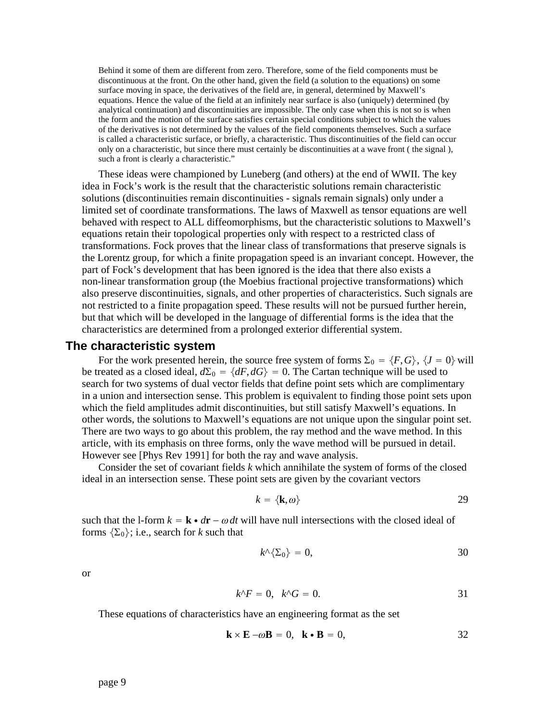Behind it some of them are different from zero. Therefore, some of the field components must be discontinuous at the front. On the other hand, given the field (a solution to the equations) on some surface moving in space, the derivatives of the field are, in general, determined by Maxwell's equations. Hence the value of the field at an infinitely near surface is also (uniquely) determined (by analytical continuation) and discontinuities are impossible. The only case when this is not so is when the form and the motion of the surface satisfies certain special conditions subject to which the values of the derivatives is not determined by the values of the field components themselves. Such a surface is called a characteristic surface, or briefly, a characteristic. Thus discontinuities of the field can occur only on a characteristic, but since there must certainly be discontinuities at a wave front ( the signal ), such a front is clearly a characteristic."

These ideas were championed by Luneberg (and others) at the end of WWII. The key idea in Fock's work is the result that the characteristic solutions remain characteristic solutions (discontinuities remain discontinuities - signals remain signals) only under a limited set of coordinate transformations. The laws of Maxwell as tensor equations are well behaved with respect to ALL diffeomorphisms, but the characteristic solutions to Maxwell's equations retain their topological properties only with respect to a restricted class of transformations. Fock proves that the linear class of transformations that preserve signals is the Lorentz group, for which a finite propagation speed is an invariant concept. However, the part of Fock's development that has been ignored is the idea that there also exists a non-linear transformation group (the Moebius fractional projective transformations) which also preserve discontinuities, signals, and other properties of characteristics. Such signals are not restricted to a finite propagation speed. These results will not be pursued further herein, but that which will be developed in the language of differential forms is the idea that the characteristics are determined from a prolonged exterior differential system.

#### **The characteristic system**

For the work presented herein, the source free system of forms  $\Sigma_0 = \{F, G\}$ ,  $\{J = 0\}$  will be treated as a closed ideal,  $d\Sigma_0 = \{dF, dG\} = 0$ . The Cartan technique will be used to search for two systems of dual vector fields that define point sets which are complimentary in a union and intersection sense. This problem is equivalent to finding those point sets upon which the field amplitudes admit discontinuities, but still satisfy Maxwell's equations. In other words, the solutions to Maxwell's equations are not unique upon the singular point set. There are two ways to go about this problem, the ray method and the wave method. In this article, with its emphasis on three forms, only the wave method will be pursued in detail. However see [Phys Rev 1991] for both the ray and wave analysis.

Consider the set of covariant fields *k* which annihilate the system of forms of the closed ideal in an intersection sense. These point sets are given by the covariant vectors

$$
k = \{\mathbf{k}, \omega\} \tag{29}
$$

such that the l-form  $k = \mathbf{k} \cdot d\mathbf{r} - \omega dt$  will have null intersections with the closed ideal of forms  $\{\Sigma_0\}$ ; i.e., search for *k* such that

$$
k^{\prime}\left\{\Sigma_0\right\}=0,\t\t 30
$$

or

$$
k^{\wedge}F = 0, \quad k^{\wedge}G = 0. \tag{31}
$$

These equations of characteristics have an engineering format as the set

$$
\mathbf{k} \times \mathbf{E} - \omega \mathbf{B} = 0, \quad \mathbf{k} \cdot \mathbf{B} = 0, \tag{32}
$$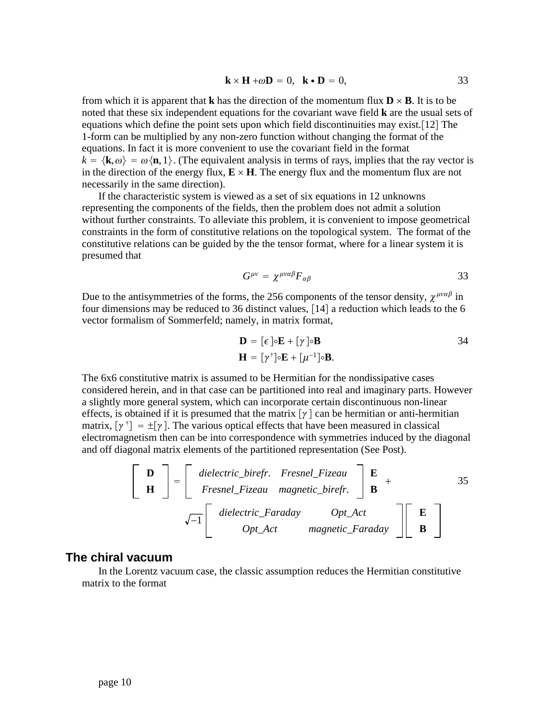$$
\mathbf{k} \times \mathbf{H} + \omega \mathbf{D} = 0, \quad \mathbf{k} \cdot \mathbf{D} = 0, \tag{33}
$$

from which it is apparent that **k** has the direction of the momentum flux  $\mathbf{D} \times \mathbf{B}$ . It is to be noted that these six independent equations for the covariant wave field **k** are the usual sets of equations which define the point sets upon which field discontinuities may exist. $[12]$  The 1-form can be multiplied by any non-zero function without changing the format of the equations. In fact it is more convenient to use the covariant field in the format  $k = \{k, \omega\} = \omega\{n, 1\}$ . (The equivalent analysis in terms of rays, implies that the ray vector is in the direction of the energy flux,  $\mathbf{E} \times \mathbf{H}$ . The energy flux and the momentum flux are not necessarily in the same direction).

If the characteristic system is viewed as a set of six equations in 12 unknowns representing the components of the fields, then the problem does not admit a solution without further constraints. To alleviate this problem, it is convenient to impose geometrical constraints in the form of constitutive relations on the topological system. The format of the constitutive relations can be guided by the the tensor format, where for a linear system it is presumed that

$$
G^{\mu\nu} = \chi^{\mu\nu\alpha\beta} F_{\alpha\beta} \tag{33}
$$

Due to the antisymmetries of the forms, the 256 components of the tensor density,  $\chi^{\mu\nu\alpha\beta}$  in four dimensions may be reduced to 36 distinct values,  $[14]$  a reduction which leads to the 6 vector formalism of Sommerfeld; namely, in matrix format,

$$
\mathbf{D} = [\epsilon] \circ \mathbf{E} + [\gamma] \circ \mathbf{B}
$$
  

$$
\mathbf{H} = [\gamma^{\dagger}] \circ \mathbf{E} + [\mu^{-1}] \circ \mathbf{B}.
$$

The 6x6 constitutive matrix is assumed to be Hermitian for the nondissipative cases considered herein, and in that case can be partitioned into real and imaginary parts. However a slightly more general system, which can incorporate certain discontinuous non-linear effects, is obtained if it is presumed that the matrix  $\lceil \gamma \rceil$  can be hermitian or anti-hermitian matrix,  $[\gamma^{\dagger}] = \pm [\gamma]$ . The various optical effects that have been measured in classical electromagnetism then can be into correspondence with symmetries induced by the diagonal and off diagonal matrix elements of the partitioned representation (See Post).

$$
\begin{bmatrix}\n\mathbf{D} \\
\mathbf{H}\n\end{bmatrix} = \begin{bmatrix}\n\text{dielectric\_birefr. } Fresnel\_Fizeau \\
\text{Fresnel\_Fizeau} \text{ magnetic\_birefr.}\n\end{bmatrix} \begin{bmatrix}\n\mathbf{E} \\
\mathbf{B}\n\end{bmatrix} + \begin{bmatrix}\n35 \\
\sqrt{-1} \begin{bmatrix}\n\text{dielectric\_Faraday} & \text{Opt\_Act} \\
\text{Opt\_Act} & \text{magnetic\_Faraday}\n\end{bmatrix} \begin{bmatrix}\n\mathbf{E} \\
\mathbf{B}\n\end{bmatrix}
$$

#### **The chiral vacuum**

In the Lorentz vacuum case, the classic assumption reduces the Hermitian constitutive matrix to the format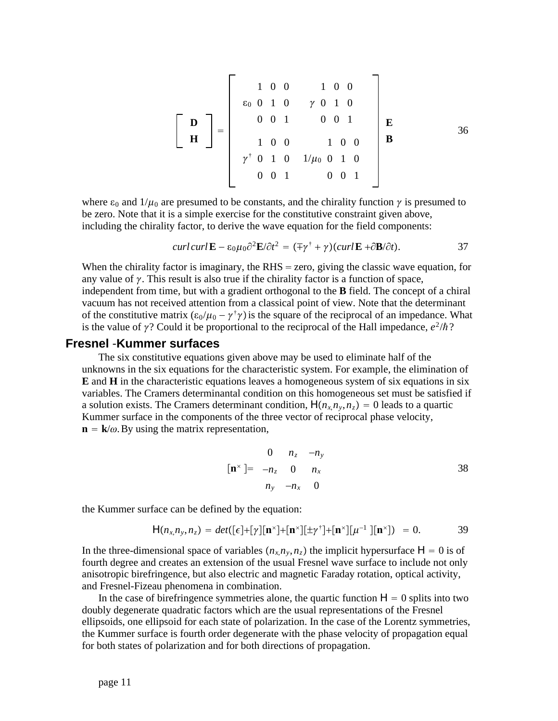$$
\begin{bmatrix}\n\mathbf{D} \\
\mathbf{H}\n\end{bmatrix} = \begin{bmatrix}\n1 & 0 & 0 & 1 & 0 & 0 \\
\varepsilon_0 & 0 & 1 & 0 & \gamma & 0 & 1 & 0 \\
0 & 0 & 1 & 0 & 0 & 1 & 0 \\
1 & 0 & 0 & 1 & 0 & 0 & 0 \\
\gamma^{\dagger} & 0 & 1 & 0 & 1/\mu_0 & 0 & 1 & 0 \\
0 & 0 & 1 & 0 & 0 & 0 & 1\n\end{bmatrix} \mathbf{E}
$$
\n36

where  $\varepsilon_0$  and  $1/\mu_0$  are presumed to be constants, and the chirality function  $\gamma$  is presumed to be zero. Note that it is a simple exercise for the constitutive constraint given above, including the chirality factor, to derive the wave equation for the field components:

$$
curl curl \mathbf{E} - \varepsilon_0 \mu_0 \partial^2 \mathbf{E} / \partial t^2 = (\mp \gamma^{\dagger} + \gamma)(curl \mathbf{E} + \partial \mathbf{B} / \partial t).
$$
 37

When the chirality factor is imaginary, the  $RHS =$  zero, giving the classic wave equation, for any value of  $\gamma$ . This result is also true if the chirality factor is a function of space, independent from time, but with a gradient orthogonal to the **B** field. The concept of a chiral vacuum has not received attention from a classical point of view. Note that the determinant of the constitutive matrix  $(\epsilon_0/\mu_0 - \gamma^{\dagger} \gamma)$  is the square of the reciprocal of an impedance. What is the value of  $\gamma$ ? Could it be proportional to the reciprocal of the Hall impedance,  $e^2/\hbar$ ?

#### **Fresnel** -**Kummer surfaces**

The six constitutive equations given above may be used to eliminate half of the unknowns in the six equations for the characteristic system. For example, the elimination of **E** and **H** in the characteristic equations leaves a homogeneous system of six equations in six variables. The Cramers determinantal condition on this homogeneous set must be satisfied if a solution exists. The Cramers determinant condition,  $H(n_x, n_y, n_z) = 0$  leads to a quartic Kummer surface in the components of the three vector of reciprocal phase velocity,  $\mathbf{n} = \mathbf{k}/\omega$ . By using the matrix representation,

$$
\begin{array}{ccc}\n0 & n_z & -n_y \\
\left[\mathbf{n}^{\times}\right] = & -n_z & 0 & n_x \\
n_y & -n_x & 0\n\end{array}
$$
\n38

the Kummer surface can be defined by the equation:

$$
H(n_x, n_y, n_z) = det([\epsilon] + [\gamma][\mathbf{n}^{\times}] + [\mathbf{n}^{\times}][\pm \gamma^{\dagger}] + [\mathbf{n}^{\times}][\mu^{-1}][\mathbf{n}^{\times}]) = 0.
$$
 39

In the three-dimensional space of variables  $(n_x, n_y, n_z)$  the implicit hypersurface  $H = 0$  is of fourth degree and creates an extension of the usual Fresnel wave surface to include not only anisotropic birefringence, but also electric and magnetic Faraday rotation, optical activity, and Fresnel-Fizeau phenomena in combination.

In the case of birefringence symmetries alone, the quartic function  $H = 0$  splits into two doubly degenerate quadratic factors which are the usual representations of the Fresnel ellipsoids, one ellipsoid for each state of polarization. In the case of the Lorentz symmetries, the Kummer surface is fourth order degenerate with the phase velocity of propagation equal for both states of polarization and for both directions of propagation.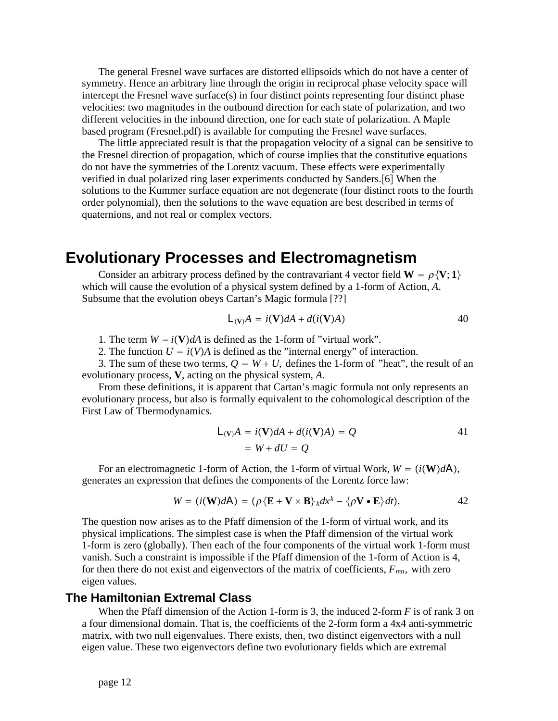The general Fresnel wave surfaces are distorted ellipsoids which do not have a center of symmetry. Hence an arbitrary line through the origin in reciprocal phase velocity space will intercept the Fresnel wave surface $(s)$  in four distinct points representing four distinct phase velocities: two magnitudes in the outbound direction for each state of polarization, and two different velocities in the inbound direction, one for each state of polarization. A Maple based program (Fresnel.pdf) is available for computing the Fresnel wave surfaces.

The little appreciated result is that the propagation velocity of a signal can be sensitive to the Fresnel direction of propagation, which of course implies that the constitutive equations do not have the symmetries of the Lorentz vacuum. These effects were experimentally verified in dual polarized ring laser experiments conducted by Sanders.[6] When the solutions to the Kummer surface equation are not degenerate (four distinct roots to the fourth order polynomial), then the solutions to the wave equation are best described in terms of quaternions, and not real or complex vectors.

# **Evolutionary Processes and Electromagnetism**

Consider an arbitrary process defined by the contravariant 4 vector field  $W = \rho \{V; 1\}$ which will cause the evolution of a physical system defined by a 1-form of Action, *A*. Subsume that the evolution obeys Cartan's Magic formula [??]

$$
L_{(V)}A = i(V)dA + d(i(V)A)
$$
 40

1. The term  $W = i(V)dA$  is defined as the 1-form of "virtual work".

2. The function  $U = i(V)A$  is defined as the "internal energy" of interaction.

3. The sum of these two terms,  $Q = W + U$ , defines the 1-form of "heat", the result of an evolutionary process, **V**, acting on the physical system, *A*.

From these definitions, it is apparent that Cartan's magic formula not only represents an evolutionary process, but also is formally equivalent to the cohomological description of the First Law of Thermodynamics.

$$
L_{(V)}A = i(V)dA + d(i(V)A) = Q
$$
  
= W + dU = Q

For an electromagnetic 1-form of Action, the 1-form of virtual Work,  $W = (i(W)dA)$ , generates an expression that defines the components of the Lorentz force law:

$$
W = (i(\mathbf{W})d\mathbf{A}) = (\rho \{\mathbf{E} + \mathbf{V} \times \mathbf{B}\}_{k} dx^{k} - \{\rho \mathbf{V} \cdot \mathbf{E}\} dt).
$$

The question now arises as to the Pfaff dimension of the 1-form of virtual work, and its physical implications. The simplest case is when the Pfaff dimension of the virtual work 1-form is zero (globally). Then each of the four components of the virtual work 1-form must vanish. Such a constraint is impossible if the Pfaff dimension of the 1-form of Action is 4, for then there do not exist and eigenvectors of the matrix of coefficients, *Fmn*, with zero eigen values.

### **The Hamiltonian Extremal Class**

When the Pfaff dimension of the Action 1-form is 3, the induced 2-form *F* is of rank 3 on a four dimensional domain. That is, the coefficients of the 2-form form a 4x4 anti-symmetric matrix, with two null eigenvalues. There exists, then, two distinct eigenvectors with a null eigen value. These two eigenvectors define two evolutionary fields which are extremal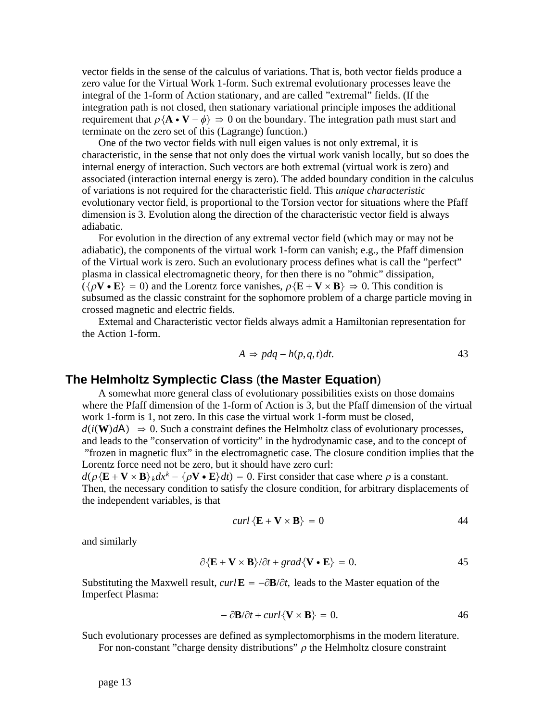vector fields in the sense of the calculus of variations. That is, both vector fields produce a zero value for the Virtual Work 1-form. Such extremal evolutionary processes leave the integral of the 1-form of Action stationary, and are called "extremal" fields. (If the integration path is not closed, then stationary variational principle imposes the additional requirement that  $\rho$ {**A**  $\cdot$  **V**  $-\phi$ }  $\Rightarrow$  0 on the boundary. The integration path must start and terminate on the zero set of this (Lagrange) function.)

One of the two vector fields with null eigen values is not only extremal, it is characteristic, in the sense that not only does the virtual work vanish locally, but so does the internal energy of interaction. Such vectors are both extremal (virtual work is zero) and associated (interaction internal energy is zero). The added boundary condition in the calculus of variations is not required for the characteristic field. This *unique characteristic* evolutionary vector field, is proportional to the Torsion vector for situations where the Pfaff dimension is 3. Evolution along the direction of the characteristic vector field is always adiabatic.

For evolution in the direction of any extremal vector field (which may or may not be adiabatic), the components of the virtual work 1-form can vanish; e.g., the Pfaff dimension of the Virtual work is zero. Such an evolutionary process defines what is call the "perfect" plasma in classical electromagnetic theory, for then there is no "ohmic" dissipation,  $({\rho}V \cdot E) = 0$  and the Lorentz force vanishes,  $\rho{E + V \times B} \Rightarrow 0$ . This condition is subsumed as the classic constraint for the sophomore problem of a charge particle moving in crossed magnetic and electric fields.

Extemal and Characteristic vector fields always admit a Hamiltonian representation for the Action 1-form.

$$
A \Rightarrow pdq - h(p, q, t)dt. \tag{43}
$$

#### **The Helmholtz Symplectic Class** (**the Master Equation**)

A somewhat more general class of evolutionary possibilities exists on those domains where the Pfaff dimension of the 1-form of Action is 3, but the Pfaff dimension of the virtual work 1-form is 1, not zero. In this case the virtual work 1-form must be closed,  $d(i(W)dA) \Rightarrow 0$ . Such a constraint defines the Helmholtz class of evolutionary processes, and leads to the "conservation of vorticity" in the hydrodynamic case, and to the concept of "frozen in magnetic flux" in the electromagnetic case. The closure condition implies that the

Lorentz force need not be zero, but it should have zero curl:  $d(\rho \langle \mathbf{E} + \mathbf{V} \times \mathbf{B} \rangle_k dx^k - \langle \rho \mathbf{V} \cdot \mathbf{E} \rangle dt) = 0$ . First consider that case where  $\rho$  is a constant. Then, the necessary condition to satisfy the closure condition, for arbitrary displacements of the independent variables, is that

$$
curl \left\{ \mathbf{E} + \mathbf{V} \times \mathbf{B} \right\} = 0 \tag{44}
$$

and similarly

$$
\partial \{\mathbf{E} + \mathbf{V} \times \mathbf{B}\} / \partial t + grad \{\mathbf{V} \cdot \mathbf{E}\} = 0.
$$
 45

Substituting the Maxwell result, *curl*  $\mathbf{E} = -\partial \mathbf{B}/\partial t$ , leads to the Master equation of the Imperfect Plasma:

$$
-\frac{\partial \mathbf{B}}{\partial t} + \frac{\partial \mathbf{C}}{\partial t} \mathbf{V} \times \mathbf{B} = 0. \tag{46}
$$

Such evolutionary processes are defined as symplectomorphisms in the modern literature.

For non-constant "charge density distributions"  $\rho$  the Helmholtz closure constraint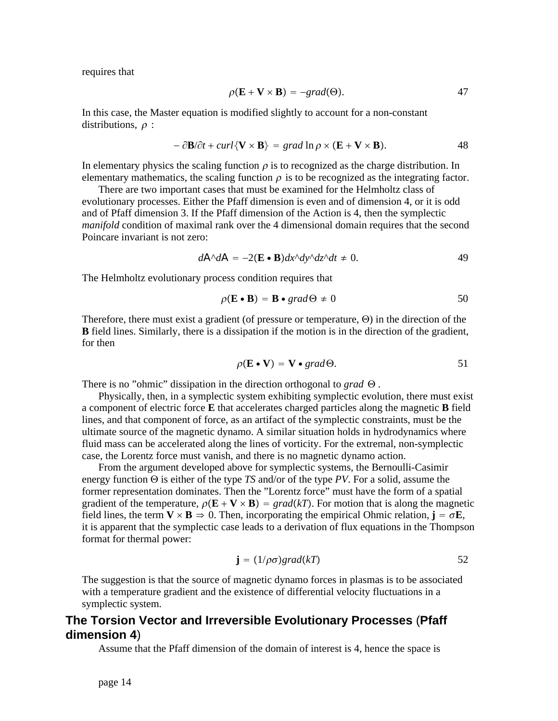requires that

$$
\rho(\mathbf{E} + \mathbf{V} \times \mathbf{B}) = -grad(\Theta).
$$

In this case, the Master equation is modified slightly to account for a non-constant distributions,  $\rho$  :

$$
-\partial \mathbf{B}/\partial t + \operatorname{curl}\{\mathbf{V} \times \mathbf{B}\} = \operatorname{grad} \ln \rho \times (\mathbf{E} + \mathbf{V} \times \mathbf{B}). \tag{48}
$$

In elementary physics the scaling function  $\rho$  is to recognized as the charge distribution. In elementary mathematics, the scaling function  $\rho$  is to be recognized as the integrating factor.

There are two important cases that must be examined for the Helmholtz class of evolutionary processes. Either the Pfaff dimension is even and of dimension 4, or it is odd and of Pfaff dimension 3. If the Pfaff dimension of the Action is 4, then the symplectic *manifold* condition of maximal rank over the 4 dimensional domain requires that the second Poincare invariant is not zero:

$$
d\mathbf{A}^{\wedge}d\mathbf{A} = -2(\mathbf{E} \cdot \mathbf{B})dx^{\wedge}dy^{\wedge}dz^{\wedge}dt \neq 0. \tag{49}
$$

The Helmholtz evolutionary process condition requires that

$$
\rho(\mathbf{E} \cdot \mathbf{B}) = \mathbf{B} \cdot \text{grad}\Theta \neq 0 \tag{50}
$$

Therefore, there must exist a gradient (of pressure or temperature,  $\Theta$ ) in the direction of the **B** field lines. Similarly, there is a dissipation if the motion is in the direction of the gradient, for then

$$
\rho(\mathbf{E} \bullet \mathbf{V}) = \mathbf{V} \bullet \text{grad}\Theta. \tag{51}
$$

There is no "ohmic" dissipation in the direction orthogonal to *grad*  $\Theta$ .

Physically, then, in a symplectic system exhibiting symplectic evolution, there must exist a component of electric force **E** that accelerates charged particles along the magnetic **B** field lines, and that component of force, as an artifact of the symplectic constraints, must be the ultimate source of the magnetic dynamo. A similar situation holds in hydrodynamics where fluid mass can be accelerated along the lines of vorticity. For the extremal, non-symplectic case, the Lorentz force must vanish, and there is no magnetic dynamo action.

From the argument developed above for symplectic systems, the Bernoulli-Casimir energy function  $\Theta$  is either of the type *TS* and/or of the type *PV*. For a solid, assume the former representation dominates. Then the "Lorentz force" must have the form of a spatial gradient of the temperature,  $\rho(\mathbf{E} + \mathbf{V} \times \mathbf{B}) = grad(kT)$ . For motion that is along the magnetic field lines, the term  $V \times B \Rightarrow 0$ . Then, incorporating the empirical Ohmic relation,  $\mathbf{j} = \sigma \mathbf{E}$ , it is apparent that the symplectic case leads to a derivation of flux equations in the Thompson format for thermal power:

$$
\mathbf{j} = (1/\rho\sigma)grad(kT) \tag{52}
$$

The suggestion is that the source of magnetic dynamo forces in plasmas is to be associated with a temperature gradient and the existence of differential velocity fluctuations in a symplectic system.

## **The Torsion Vector and Irreversible Evolutionary Processes** (**Pfaff dimension 4**)

Assume that the Pfaff dimension of the domain of interest is 4, hence the space is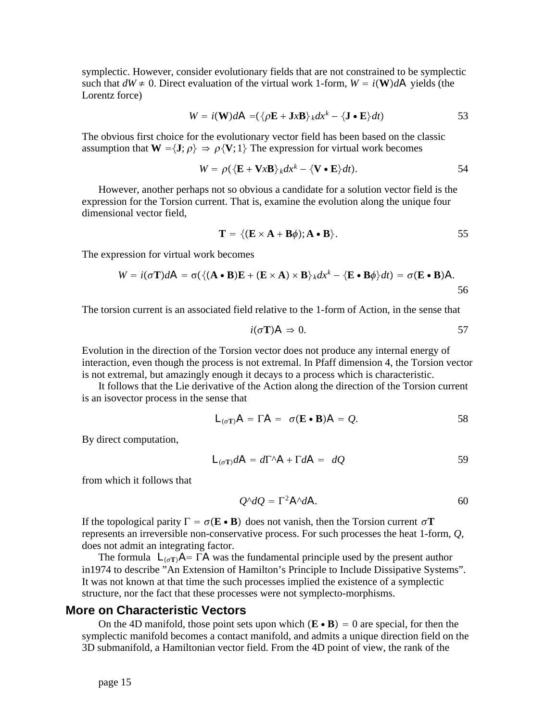symplectic. However, consider evolutionary fields that are not constrained to be symplectic such that  $dW \neq 0$ . Direct evaluation of the virtual work 1-form,  $W = i(\mathbf{W})d\mathbf{A}$  yields (the Lorentz force)

$$
W = i(\mathbf{W})d\mathbf{A} = (\{\rho \mathbf{E} + \mathbf{J} \mathbf{x} \mathbf{B}\}_{k} dx^{k} - \{\mathbf{J} \cdot \mathbf{E}\} dt)
$$

The obvious first choice for the evolutionary vector field has been based on the classic assumption that  $W = \{J; \rho\} \Rightarrow \rho \{V; 1\}$  The expression for virtual work becomes

$$
W = \rho(\{\mathbf{E} + \mathbf{V}x\mathbf{B}\}\mathrm{d}x^k - \{\mathbf{V} \bullet \mathbf{E}\}\mathrm{d}t). \tag{54}
$$

However, another perhaps not so obvious a candidate for a solution vector field is the expression for the Torsion current. That is, examine the evolution along the unique four dimensional vector field,

$$
\mathbf{T} = \{ (\mathbf{E} \times \mathbf{A} + \mathbf{B}\phi); \mathbf{A} \bullet \mathbf{B} \}.
$$

The expression for virtual work becomes

$$
W = i(\sigma \mathbf{T})dA = \sigma(\langle (\mathbf{A} \cdot \mathbf{B})\mathbf{E} + (\mathbf{E} \times \mathbf{A}) \times \mathbf{B} \rangle_k dx^k - \langle \mathbf{E} \cdot \mathbf{B} \phi \rangle dt) = \sigma(\mathbf{E} \cdot \mathbf{B})A.
$$

The torsion current is an associated field relative to the 1-form of Action, in the sense that

$$
i(\sigma \mathbf{T}) \mathbf{A} \Rightarrow 0. \tag{57}
$$

Evolution in the direction of the Torsion vector does not produce any internal energy of interaction, even though the process is not extremal. In Pfaff dimension 4, the Torsion vector is not extremal, but amazingly enough it decays to a process which is characteristic.

It follows that the Lie derivative of the Action along the direction of the Torsion current is an isovector process in the sense that

$$
L_{(\sigma T)}A = \Gamma A = \sigma(E \cdot B)A = Q.
$$

By direct computation,

$$
L_{(\sigma T)} dA = d\Gamma^A A + \Gamma dA = dQ \qquad 59
$$

from which it follows that

$$
Q^{\wedge}dQ = \Gamma^2 A^{\wedge} dA. \tag{60}
$$

If the topological parity  $\Gamma = \sigma(\mathbf{E} \cdot \mathbf{B})$  does not vanish, then the Torsion current  $\sigma \mathbf{T}$ represents an irreversible non-conservative process. For such processes the heat 1-form, *Q*, does not admit an integrating factor.

The formula  $L_{(\sigma T)}A = \overline{\Gamma}A$  was the fundamental principle used by the present author in1974 to describe "An Extension of Hamilton's Principle to Include Dissipative Systems". It was not known at that time the such processes implied the existence of a symplectic structure, nor the fact that these processes were not symplecto-morphisms.

## **More on Characteristic Vectors**

On the 4D manifold, those point sets upon which  $(\mathbf{E} \cdot \mathbf{B}) = 0$  are special, for then the symplectic manifold becomes a contact manifold, and admits a unique direction field on the 3D submanifold, a Hamiltonian vector field. From the 4D point of view, the rank of the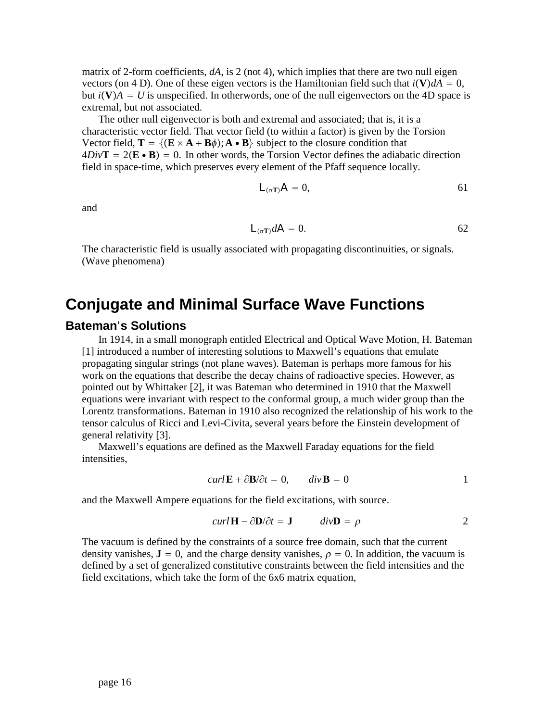matrix of 2-form coefficients, *dA*, is 2 (not 4), which implies that there are two null eigen vectors (on 4 D). One of these eigen vectors is the Hamiltonian field such that  $i(\mathbf{V})dA = 0$ , but  $i(V)A = U$  is unspecified. In otherwords, one of the null eigenvectors on the 4D space is extremal, but not associated.

The other null eigenvector is both and extremal and associated; that is, it is a characteristic vector field. That vector field (to within a factor) is given by the Torsion Vector field,  $\mathbf{T} = \{ (\mathbf{E} \times \mathbf{A} + \mathbf{B}\phi) ; \mathbf{A} \cdot \mathbf{B} \}$  subject to the closure condition that  $4Div\mathbf{T} = 2(\mathbf{E} \cdot \mathbf{B}) = 0$ . In other words, the Torsion Vector defines the adiabatic direction field in space-time, which preserves every element of the Pfaff sequence locally.

$$
L_{(\sigma T)}A = 0, \tag{61}
$$

and

$$
L_{(\sigma T)} dA = 0. \t\t\t 62
$$

The characteristic field is usually associated with propagating discontinuities, or signals. (Wave phenomena)

# **Conjugate and Minimal Surface Wave Functions**

## **Bateman**'**s Solutions**

In 1914, in a small monograph entitled Electrical and Optical Wave Motion, H. Bateman [1] introduced a number of interesting solutions to Maxwell's equations that emulate propagating singular strings (not plane waves). Bateman is perhaps more famous for his work on the equations that describe the decay chains of radioactive species. However, as pointed out by Whittaker [2], it was Bateman who determined in 1910 that the Maxwell equations were invariant with respect to the conformal group, a much wider group than the Lorentz transformations. Bateman in 1910 also recognized the relationship of his work to the tensor calculus of Ricci and Levi-Civita, several years before the Einstein development of general relativity [3].

Maxwell's equations are defined as the Maxwell Faraday equations for the field intensities,

$$
curl \mathbf{E} + \partial \mathbf{B} / \partial t = 0, \qquad div \mathbf{B} = 0
$$

and the Maxwell Ampere equations for the field excitations, with source.

$$
curl \mathbf{H} - \partial \mathbf{D} / \partial t = \mathbf{J} \qquad div \mathbf{D} = \rho \qquad 2
$$

The vacuum is defined by the constraints of a source free domain, such that the current density vanishes,  $\mathbf{J} = 0$ , and the charge density vanishes,  $\rho = 0$ . In addition, the vacuum is defined by a set of generalized constitutive constraints between the field intensities and the field excitations, which take the form of the 6x6 matrix equation,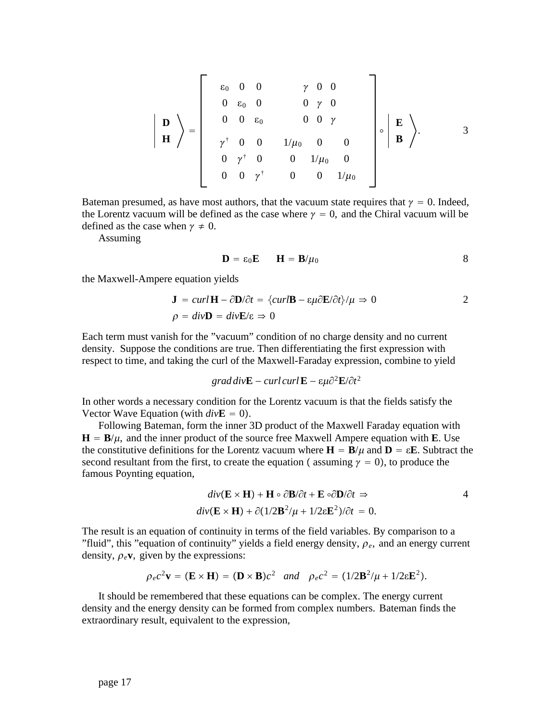$$
\left| \begin{array}{c} \mathbf{D} \\ \mathbf{D} \\ \mathbf{H} \end{array} \right\rangle = \left| \begin{array}{cccccc} \varepsilon_0 & 0 & 0 & \gamma & 0 & 0 \\ 0 & \varepsilon_0 & 0 & 0 & \gamma & 0 \\ 0 & 0 & \varepsilon_0 & 0 & 0 & \gamma \\ \gamma^{\dagger} & 0 & 0 & 1/\mu_0 & 0 & 0 \\ 0 & \gamma^{\dagger} & 0 & 0 & 1/\mu_0 & 0 \\ 0 & 0 & \gamma^{\dagger} & 0 & 0 & 1/\mu_0 \end{array} \right| \circ \left| \begin{array}{c} \mathbf{E} \\ \mathbf{B} \\ \mathbf{B} \end{array} \right\rangle.
$$
3

Bateman presumed, as have most authors, that the vacuum state requires that  $\gamma = 0$ . Indeed, the Lorentz vacuum will be defined as the case where  $\gamma = 0$ , and the Chiral vacuum will be defined as the case when  $\gamma \neq 0$ .

Assuming

$$
\mathbf{D} = \varepsilon_0 \mathbf{E} \qquad \mathbf{H} = \mathbf{B}/\mu_0 \tag{8}
$$

the Maxwell-Ampere equation yields

$$
\mathbf{J} = curl \mathbf{H} - \partial \mathbf{D}/\partial t = \{curl \mathbf{B} - \varepsilon \mu \partial \mathbf{E}/\partial t\} / \mu \Rightarrow 0
$$
  

$$
\rho = div \mathbf{D} = div \mathbf{E}/\varepsilon \Rightarrow 0
$$

Each term must vanish for the "vacuum" condition of no charge density and no current density. Suppose the conditions are true. Then differentiating the first expression with respect to time, and taking the curl of the Maxwell-Faraday expression, combine to yield

$$
grad\,div\mathbf{E} - curl\,curl\,\mathbf{E} - \varepsilon\mu\partial^2\mathbf{E}/\partial t^2
$$

In other words a necessary condition for the Lorentz vacuum is that the fields satisfy the Vector Wave Equation (with  $div$ **E** = 0).

Following Bateman, form the inner 3D product of the Maxwell Faraday equation with  $H = B/\mu$ , and the inner product of the source free Maxwell Ampere equation with **E**. Use the constitutive definitions for the Lorentz vacuum where  $\mathbf{H} = \mathbf{B}/\mu$  and  $\mathbf{D} = \varepsilon \mathbf{E}$ . Subtract the second resultant from the first, to create the equation (assuming  $\gamma = 0$ ), to produce the famous Poynting equation,

$$
div(\mathbf{E} \times \mathbf{H}) + \mathbf{H} \circ \partial \mathbf{B} / \partial t + \mathbf{E} \circ \partial \mathbf{D} / \partial t \Rightarrow
$$
  
\n
$$
div(\mathbf{E} \times \mathbf{H}) + \partial (1/2\mathbf{B}^2/\mu + 1/2\varepsilon \mathbf{E}^2) / \partial t = 0.
$$

The result is an equation of continuity in terms of the field variables. By comparison to a "fluid", this "equation of continuity" yields a field energy density,  $\rho_e$ , and an energy current density,  $\rho_e$ **v**, given by the expressions:

$$
\rho_e c^2 \mathbf{v} = (\mathbf{E} \times \mathbf{H}) = (\mathbf{D} \times \mathbf{B})c^2
$$
 and  $\rho_e c^2 = (1/2\mathbf{B}^2/\mu + 1/2\epsilon \mathbf{E}^2)$ .

It should be remembered that these equations can be complex. The energy current density and the energy density can be formed from complex numbers. Bateman finds the extraordinary result, equivalent to the expression,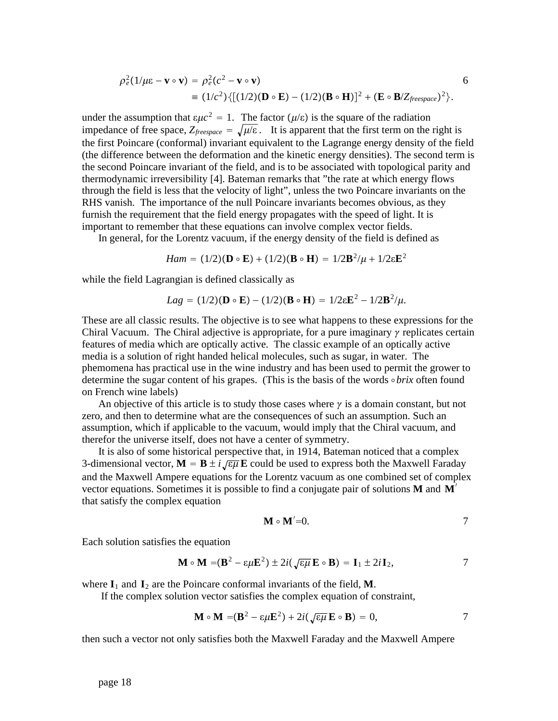$$
\rho_e^2(1/\mu\epsilon - \mathbf{v} \circ \mathbf{v}) = \rho_e^2(c^2 - \mathbf{v} \circ \mathbf{v})
$$
  
\n
$$
\equiv (1/c^2)\{[(1/2)(\mathbf{D} \circ \mathbf{E}) - (1/2)(\mathbf{B} \circ \mathbf{H})]^2 + (\mathbf{E} \circ \mathbf{B}/Z_{\text{freespace}})^2\}.
$$

6

under the assumption that  $\epsilon \mu c^2 = 1$ . The factor ( $\mu/\epsilon$ ) is the square of the radiation impedance of free space,  $Z_{\text{freespace}} = \sqrt{\mu/\varepsilon}$ . It is apparent that the first term on the right is the first Poincare (conformal) invariant equivalent to the Lagrange energy density of the field (the difference between the deformation and the kinetic energy densities). The second term is the second Poincare invariant of the field, and is to be associated with topological parity and thermodynamic irreversibility [4]. Bateman remarks that "the rate at which energy flows through the field is less that the velocity of light", unless the two Poincare invariants on the RHS vanish. The importance of the null Poincare invariants becomes obvious, as they furnish the requirement that the field energy propagates with the speed of light. It is important to remember that these equations can involve complex vector fields.

In general, for the Lorentz vacuum, if the energy density of the field is defined as

$$
Ham = (1/2)(D \circ E) + (1/2)(B \circ H) = 1/2B^2/\mu + 1/2\epsilon E^2
$$

while the field Lagrangian is defined classically as

$$
Lag = (1/2)(\mathbf{D} \circ \mathbf{E}) - (1/2)(\mathbf{B} \circ \mathbf{H}) = 1/2\epsilon \mathbf{E}^2 - 1/2\mathbf{B}^2/\mu.
$$

These are all classic results. The objective is to see what happens to these expressions for the Chiral Vacuum. The Chiral adjective is appropriate, for a pure imaginary  $\gamma$  replicates certain features of media which are optically active. The classic example of an optically active media is a solution of right handed helical molecules, such as sugar, in water. The phemomena has practical use in the wine industry and has been used to permit the grower to determine the sugar content of his grapes. (This is the basis of the words  $\circ$  *brix* often found on French wine labels)

An objective of this article is to study those cases where  $\gamma$  is a domain constant, but not zero, and then to determine what are the consequences of such an assumption. Such an assumption, which if applicable to the vacuum, would imply that the Chiral vacuum, and therefor the universe itself, does not have a center of symmetry.

It is also of some historical perspective that, in 1914, Bateman noticed that a complex 3-dimensional vector,  $\mathbf{M} = \mathbf{B} \pm i \sqrt{\epsilon \mu} \mathbf{E}$  could be used to express both the Maxwell Faraday and the Maxwell Ampere equations for the Lorentz vacuum as one combined set of complex vector equations. Sometimes it is possible to find a conjugate pair of solutions  $M$  and  $M'$ that satisfy the complex equation

$$
\mathbf{M} \circ \mathbf{M}' = 0. \tag{7}
$$

Each solution satisfies the equation

$$
\mathbf{M} \circ \mathbf{M} = (\mathbf{B}^2 - \varepsilon \mu \mathbf{E}^2) \pm 2i(\sqrt{\varepsilon \mu} \mathbf{E} \circ \mathbf{B}) = \mathbf{I}_1 \pm 2i \mathbf{I}_2, \tag{7}
$$

where  $I_1$  and  $I_2$  are the Poincare conformal invariants of the field, **M**.

If the complex solution vector satisfies the complex equation of constraint,

$$
\mathbf{M} \circ \mathbf{M} = (\mathbf{B}^2 - \varepsilon \mu \mathbf{E}^2) + 2i(\sqrt{\varepsilon \mu} \mathbf{E} \circ \mathbf{B}) = 0, \tag{7}
$$

then such a vector not only satisfies both the Maxwell Faraday and the Maxwell Ampere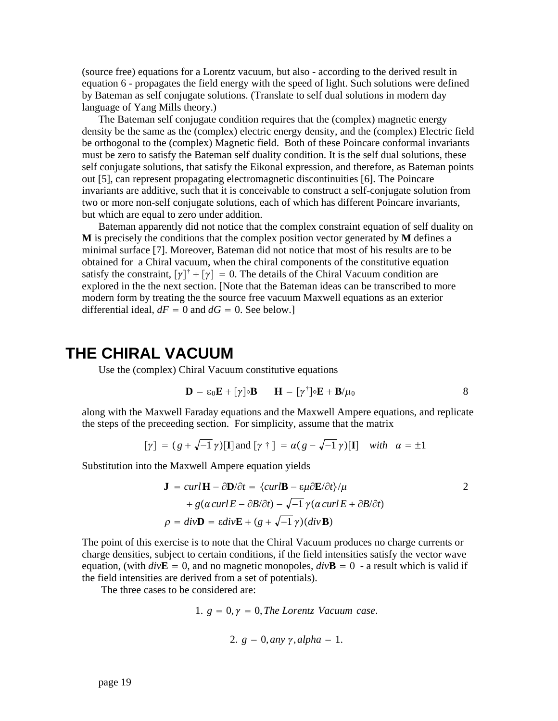(source free) equations for a Lorentz vacuum, but also - according to the derived result in equation 6 - propagates the field energy with the speed of light. Such solutions were defined by Bateman as self conjugate solutions. (Translate to self dual solutions in modern day language of Yang Mills theory.)

The Bateman self conjugate condition requires that the (complex) magnetic energy density be the same as the (complex) electric energy density, and the (complex) Electric field be orthogonal to the (complex) Magnetic field. Both of these Poincare conformal invariants must be zero to satisfy the Bateman self duality condition. It is the self dual solutions, these self conjugate solutions, that satisfy the Eikonal expression, and therefore, as Bateman points out [5], can represent propagating electromagnetic discontinuities [6]. The Poincare invariants are additive, such that it is conceivable to construct a self-conjugate solution from two or more non-self conjugate solutions, each of which has different Poincare invariants, but which are equal to zero under addition.

Bateman apparently did not notice that the complex constraint equation of self duality on **M** is precisely the conditions that the complex position vector generated by **M** defines a minimal surface [7]. Moreover, Bateman did not notice that most of his results are to be obtained for a Chiral vacuum, when the chiral components of the constitutive equation satisfy the constraint,  $[\gamma]^{+} + [\gamma] = 0$ . The details of the Chiral Vacuum condition are explored in the the next section. [Note that the Bateman ideas can be transcribed to more modern form by treating the the source free vacuum Maxwell equations as an exterior differential ideal,  $dF = 0$  and  $dG = 0$ . See below.]

# **THE CHIRAL VACUUM**

Use the (complex) Chiral Vacuum constitutive equations

$$
\mathbf{D} = \varepsilon_0 \mathbf{E} + [\gamma] \circ \mathbf{B} \qquad \mathbf{H} = [\gamma^{\dagger}] \circ \mathbf{E} + \mathbf{B}/\mu_0 \tag{8}
$$

along with the Maxwell Faraday equations and the Maxwell Ampere equations, and replicate the steps of the preceeding section. For simplicity, assume that the matrix

$$
[\gamma] = (g + \sqrt{-1} \gamma)[\mathbf{I}] \text{ and } [\gamma \dagger] = \alpha(g - \sqrt{-1} \gamma)[\mathbf{I}] \text{ with } \alpha = \pm 1
$$

Substitution into the Maxwell Ampere equation yields

$$
\mathbf{J} = curl \mathbf{H} - \partial \mathbf{D} / \partial t = \{curl \mathbf{B} - \varepsilon \mu \partial \mathbf{E} / \partial t \} / \mu
$$
  
+  $g(\alpha curl E - \partial B / \partial t) - \sqrt{-1} \gamma (\alpha curl E + \partial B / \partial t)$   
 $\rho = div \mathbf{D} = \varepsilon div \mathbf{E} + (g + \sqrt{-1} \gamma)(div \mathbf{B})$ 

The point of this exercise is to note that the Chiral Vacuum produces no charge currents or charge densities, subject to certain conditions, if the field intensities satisfy the vector wave equation, (with  $div$ **E** = 0, and no magnetic monopoles,  $div$ **B** = 0 - a result which is valid if the field intensities are derived from a set of potentials).

The three cases to be considered are:

1. 
$$
g = 0, \gamma = 0
$$
, The Lorentz *Vacuum case*.

2. 
$$
g = 0
$$
, any  $\gamma$ , alpha = 1.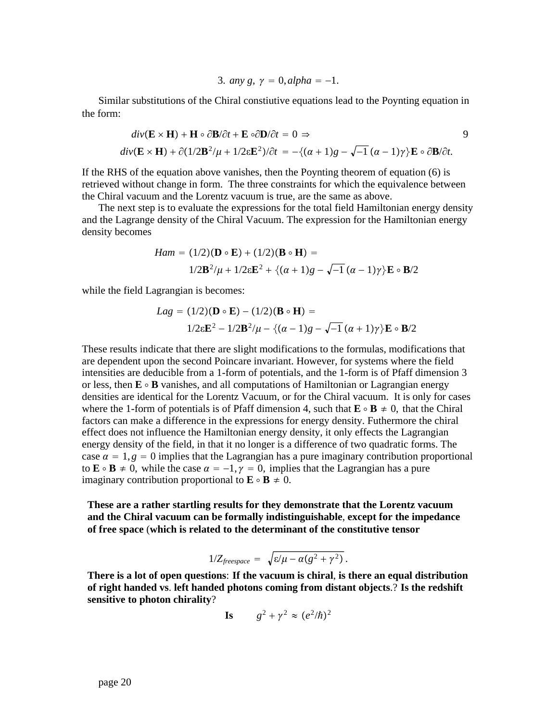3. any 
$$
g, \gamma = 0
$$
, alpha = -1.

Similar substitutions of the Chiral constiutive equations lead to the Poynting equation in the form:

$$
div(\mathbf{E} \times \mathbf{H}) + \mathbf{H} \circ \partial \mathbf{B} / \partial t + \mathbf{E} \circ \partial \mathbf{D} / \partial t = 0 \Rightarrow
$$
  

$$
div(\mathbf{E} \times \mathbf{H}) + \partial (1/2\mathbf{B}^2/\mu + 1/2\varepsilon \mathbf{E}^2) / \partial t = -\{(\alpha + 1)g - \sqrt{-1}(\alpha - 1)\gamma\} \mathbf{E} \circ \partial \mathbf{B} / \partial t.
$$

9

If the RHS of the equation above vanishes, then the Poynting theorem of equation (6) is retrieved without change in form. The three constraints for which the equivalence between the Chiral vacuum and the Lorentz vacuum is true, are the same as above.

The next step is to evaluate the expressions for the total field Hamiltonian energy density and the Lagrange density of the Chiral Vacuum. The expression for the Hamiltonian energy density becomes

$$
Ham = (1/2)(\mathbf{D} \circ \mathbf{E}) + (1/2)(\mathbf{B} \circ \mathbf{H}) =
$$
  

$$
1/2\mathbf{B}^2/\mu + 1/2\varepsilon\mathbf{E}^2 + \{(\alpha + 1)g - \sqrt{-1}(\alpha - 1)\gamma\}\mathbf{E} \circ \mathbf{B}/2
$$

while the field Lagrangian is becomes:

$$
Lag = (1/2)(\mathbf{D} \circ \mathbf{E}) - (1/2)(\mathbf{B} \circ \mathbf{H}) =
$$
  

$$
1/2\varepsilon \mathbf{E}^2 - 1/2\mathbf{B}^2/\mu - \{(\alpha - 1)g - \sqrt{-1}(\alpha + 1)\gamma\}\mathbf{E} \circ \mathbf{B}/2
$$

These results indicate that there are slight modifications to the formulas, modifications that are dependent upon the second Poincare invariant. However, for systems where the field intensities are deducible from a 1-form of potentials, and the 1-form is of Pfaff dimension 3 or less, then  $\mathbf{E} \circ \mathbf{B}$  vanishes, and all computations of Hamiltonian or Lagrangian energy densities are identical for the Lorentz Vacuum, or for the Chiral vacuum. It is only for cases where the 1-form of potentials is of Pfaff dimension 4, such that  $\mathbf{E} \circ \mathbf{B} \neq 0$ , that the Chiral factors can make a difference in the expressions for energy density. Futhermore the chiral effect does not influence the Hamiltonian energy density, it only effects the Lagrangian energy density of the field, in that it no longer is a difference of two quadratic forms. The case  $\alpha = 1$ ,  $\beta = 0$  implies that the Lagrangian has a pure imaginary contribution proportional to  $\mathbf{E} \circ \mathbf{B} \neq 0$ , while the case  $\alpha = -1, \gamma = 0$ , implies that the Lagrangian has a pure imaginary contribution proportional to  $\mathbf{E} \circ \mathbf{B} \neq 0$ .

**These are a rather startling results for they demonstrate that the Lorentz vacuum and the Chiral vacuum can be formally indistinguishable**, **except for the impedance of free space** (**which is related to the determinant of the constitutive tensor**

$$
1/Z_{\text{freespace}} = \sqrt{\varepsilon/\mu - \alpha(g^2 + \gamma^2)}.
$$

**There is a lot of open questions**: **If the vacuum is chiral**, **is there an equal distribution of right handed vs**. **left handed photons coming from distant objects**.? **Is the redshift sensitive to photon chirality**?

**Is** 
$$
g^2 + \gamma^2 \approx (e^2/\hbar)^2
$$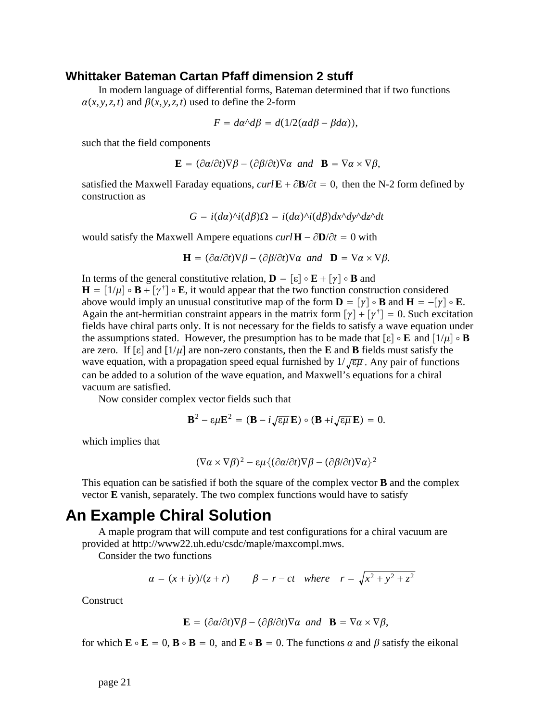## **Whittaker Bateman Cartan Pfaff dimension 2 stuff**

In modern language of differential forms, Bateman determined that if two functions  $\alpha(x, y, z, t)$  and  $\beta(x, y, z, t)$  used to define the 2-form

$$
F = d\alpha \Delta \beta = d(1/2(\alpha d\beta - \beta d\alpha)),
$$

such that the field components

$$
\mathbf{E} = (\partial \alpha/\partial t)\nabla \beta - (\partial \beta/\partial t)\nabla \alpha \ \text{and} \ \mathbf{B} = \nabla \alpha \times \nabla \beta,
$$

satisfied the Maxwell Faraday equations,  $curl \mathbf{E} + \partial \mathbf{B}/\partial t = 0$ , then the N-2 form defined by construction as

$$
G = i(d\alpha)^{\wedge} i(d\beta)\Omega = i(d\alpha)^{\wedge} i(d\beta)dx^{\wedge} dy^{\wedge} dz^{\wedge} dt
$$

would satisfy the Maxwell Ampere equations  $curl \mathbf{H} - \partial \mathbf{D}/\partial t = 0$  with

$$
\mathbf{H} = (\partial \alpha/\partial t)\nabla \beta - (\partial \beta/\partial t)\nabla \alpha \text{ and } \mathbf{D} = \nabla \alpha \times \nabla \beta.
$$

In terms of the general constitutive relation,  $\mathbf{D} = [\varepsilon] \circ \mathbf{E} + [\gamma] \circ \mathbf{B}$  and  $\mathbf{H} = [1/\mu] \circ \mathbf{B} + [\gamma^{\dagger}] \circ \mathbf{E}$ , it would appear that the two function construction considered above would imply an unusual constitutive map of the form  $\mathbf{D} = [\gamma] \circ \mathbf{B}$  and  $\mathbf{H} = -[\gamma] \circ \mathbf{E}$ . Again the ant-hermitian constraint appears in the matrix form  $[\gamma] + [\gamma^{\dagger}] = 0$ . Such excitation fields have chiral parts only. It is not necessary for the fields to satisfy a wave equation under the assumptions stated. However, the presumption has to be made that  $[\epsilon] \circ \mathbf{E}$  and  $[1/\mu] \circ \mathbf{B}$ are zero. If  $\lceil \varepsilon \rceil$  and  $\lceil 1/\mu \rceil$  are non-zero constants, then the **E** and **B** fields must satisfy the wave equation, with a propagation speed equal furnished by  $1/\sqrt{\epsilon\mu}$ . Any pair of functions can be added to a solution of the wave equation, and Maxwell's equations for a chiral vacuum are satisfied.

Now consider complex vector fields such that

$$
\mathbf{B}^2 - \varepsilon \mu \mathbf{E}^2 = (\mathbf{B} - i \sqrt{\varepsilon \mu} \mathbf{E}) \circ (\mathbf{B} + i \sqrt{\varepsilon \mu} \mathbf{E}) = 0.
$$

which implies that

$$
(\nabla \alpha \times \nabla \beta)^2 - \varepsilon \mu \{ (\partial \alpha / \partial t) \nabla \beta - (\partial \beta / \partial t) \nabla \alpha \}^2
$$

This equation can be satisfied if both the square of the complex vector **B** and the complex vector **E** vanish, separately. The two complex functions would have to satisfy

## **An Example Chiral Solution**

A maple program that will compute and test configurations for a chiral vacuum are provided at http://www22.uh.edu/csdc/maple/maxcompl.mws.

Consider the two functions

$$
\alpha = (x + iy)/(z + r) \qquad \beta = r - ct \quad \text{where} \quad r = \sqrt{x^2 + y^2 + z^2}
$$

**Construct** 

$$
\mathbf{E} = (\partial \alpha/\partial t)\nabla \beta - (\partial \beta/\partial t)\nabla \alpha \text{ and } \mathbf{B} = \nabla \alpha \times \nabla \beta,
$$

for which  $\mathbf{E} \circ \mathbf{E} = 0$ ,  $\mathbf{B} \circ \mathbf{B} = 0$ , and  $\mathbf{E} \circ \mathbf{B} = 0$ . The functions  $\alpha$  and  $\beta$  satisfy the eikonal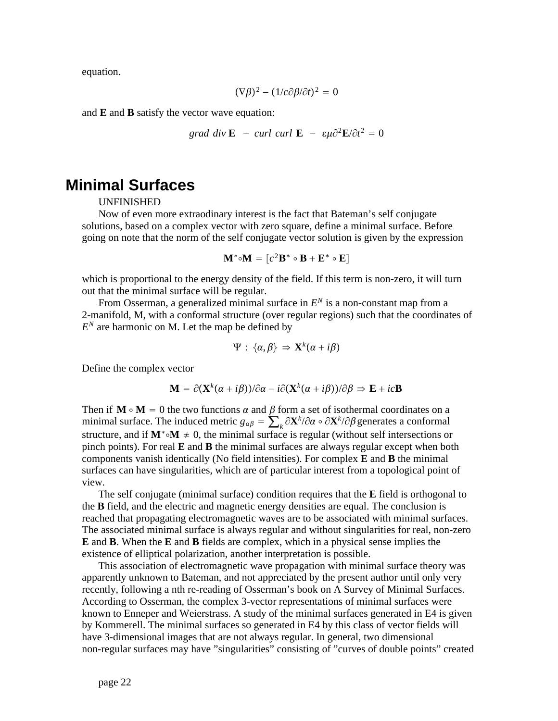equation.

$$
(\nabla \beta)^2 - (1/c \partial \beta / \partial t)^2 = 0
$$

and **E** and **B** satisfy the vector wave equation:

$$
grad\ div \mathbf{E} - curl\ curl \mathbf{E} - \varepsilon \mu \partial^2 \mathbf{E}/\partial t^2 = 0
$$

# **Minimal Surfaces**

UNFINISHED

Now of even more extraodinary interest is the fact that Bateman's self conjugate solutions, based on a complex vector with zero square, define a minimal surface. Before going on note that the norm of the self conjugate vector solution is given by the expression

$$
\mathbf{M}^* \circ \mathbf{M} = [c^2 \mathbf{B}^* \circ \mathbf{B} + \mathbf{E}^* \circ \mathbf{E}]
$$

which is proportional to the energy density of the field. If this term is non-zero, it will turn out that the minimal surface will be regular.

From Osserman, a generalized minimal surface in  $E^N$  is a non-constant map from a 2-manifold, M, with a conformal structure (over regular regions) such that the coordinates of  $E<sup>N</sup>$  are harmonic on M. Let the map be defined by

$$
\Psi: \{\alpha, \beta\} \Rightarrow \mathbf{X}^k(\alpha + i\beta)
$$

Define the complex vector

$$
\mathbf{M} = \partial(\mathbf{X}^k(\alpha + i\beta))/\partial\alpha - i\partial(\mathbf{X}^k(\alpha + i\beta))/\partial\beta \Rightarrow \mathbf{E} + ic\mathbf{B}
$$

Then if  $M \circ M = 0$  the two functions  $\alpha$  and  $\beta$  form a set of isothermal coordinates on a minimal surface. The induced metric  $g_{\alpha\beta} = \sum_k \partial X^k / \partial \alpha \circ \partial X^k / \partial \beta$  generates a conformal structure, and if  $M^* \circ M \neq 0$ , the minimal surface is regular (without self intersections or pinch points). For real **E** and **B** the minimal surfaces are always regular except when both components vanish identically (No field intensities). For complex **E** and **B** the minimal surfaces can have singularities, which are of particular interest from a topological point of view.

The self conjugate (minimal surface) condition requires that the **E** field is orthogonal to the **B** field, and the electric and magnetic energy densities are equal. The conclusion is reached that propagating electromagnetic waves are to be associated with minimal surfaces. The associated minimal surface is always regular and without singularities for real, non-zero **E** and **B**. When the **E** and **B** fields are complex, which in a physical sense implies the existence of elliptical polarization, another interpretation is possible.

This association of electromagnetic wave propagation with minimal surface theory was apparently unknown to Bateman, and not appreciated by the present author until only very recently, following a nth re-reading of Osserman's book on A Survey of Minimal Surfaces. According to Osserman, the complex 3-vector representations of minimal surfaces were known to Enneper and Weierstrass. A study of the minimal surfaces generated in E4 is given by Kommerell. The minimal surfaces so generated in E4 by this class of vector fields will have 3-dimensional images that are not always regular. In general, two dimensional non-regular surfaces may have "singularities" consisting of "curves of double points" created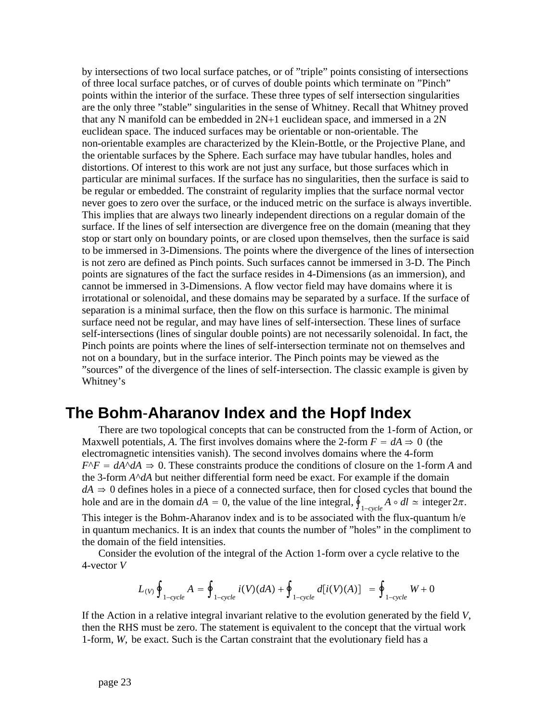by intersections of two local surface patches, or of "triple" points consisting of intersections of three local surface patches, or of curves of double points which terminate on "Pinch" points within the interior of the surface. These three types of self intersection singularities are the only three "stable" singularities in the sense of Whitney. Recall that Whitney proved that any N manifold can be embedded in 2N+1 euclidean space, and immersed in a 2N euclidean space. The induced surfaces may be orientable or non-orientable. The non-orientable examples are characterized by the Klein-Bottle, or the Projective Plane, and the orientable surfaces by the Sphere. Each surface may have tubular handles, holes and distortions. Of interest to this work are not just any surface, but those surfaces which in particular are minimal surfaces. If the surface has no singularities, then the surface is said to be regular or embedded. The constraint of regularity implies that the surface normal vector never goes to zero over the surface, or the induced metric on the surface is always invertible. This implies that are always two linearly independent directions on a regular domain of the surface. If the lines of self intersection are divergence free on the domain (meaning that they stop or start only on boundary points, or are closed upon themselves, then the surface is said to be immersed in 3-Dimensions. The points where the divergence of the lines of intersection is not zero are defined as Pinch points. Such surfaces cannot be immersed in 3-D. The Pinch points are signatures of the fact the surface resides in 4-Dimensions (as an immersion), and cannot be immersed in 3-Dimensions. A flow vector field may have domains where it is irrotational or solenoidal, and these domains may be separated by a surface. If the surface of separation is a minimal surface, then the flow on this surface is harmonic. The minimal surface need not be regular, and may have lines of self-intersection. These lines of surface self-intersections (lines of singular double points) are not necessarily solenoidal. In fact, the Pinch points are points where the lines of self-intersection terminate not on themselves and not on a boundary, but in the surface interior. The Pinch points may be viewed as the "sources" of the divergence of the lines of self-intersection. The classic example is given by Whitney's

# **The Bohm**-**Aharanov Index and the Hopf Index**

There are two topological concepts that can be constructed from the 1-form of Action, or Maxwell potentials, A. The first involves domains where the 2-form  $F = dA \Rightarrow 0$  (the electromagnetic intensities vanish). The second involves domains where the 4-form  $F^{\wedge}F = dA^{\wedge}dA \Rightarrow 0$ . These constraints produce the conditions of closure on the 1-form *A* and the 3-form  $A^{\wedge}dA$  but neither differential form need be exact. For example if the domain  $dA \Rightarrow 0$  defines holes in a piece of a connected surface, then for closed cycles that bound the hole and are in the domain  $dA = 0$ , the value of the line integral,  $\oint_{1-cycle} A \circ dl \simeq$  integer  $2\pi$ .

This integer is the Bohm-Aharanov index and is to be associated with the flux-quantum h/e in quantum mechanics. It is an index that counts the number of "holes" in the compliment to the domain of the field intensities.

Consider the evolution of the integral of the Action 1-form over a cycle relative to the 4-vector *V*

$$
L_{(V)}\oint_{1-cycle}A=\oint_{1-cycle}i(V)(dA)+\oint_{1-cycle}d[i(V)(A)]=\oint_{1-cycle}W+0
$$

If the Action in a relative integral invariant relative to the evolution generated by the field *V*, then the RHS must be zero. The statement is equivalent to the concept that the virtual work 1-form, *W*, be exact. Such is the Cartan constraint that the evolutionary field has a